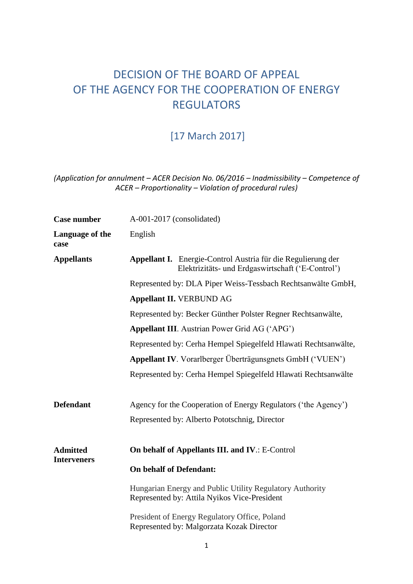# DECISION OF THE BOARD OF APPEAL OF THE AGENCY FOR THE COOPERATION OF ENERGY REGULATORS

## [17 March 2017]

### *(Application for annulment – ACER Decision No. 06/2016 – Inadmissibility – Competence of ACER – Proportionality – Violation of procedural rules)*

| <b>Case number</b>                    | A-001-2017 (consolidated)                                                                                                |
|---------------------------------------|--------------------------------------------------------------------------------------------------------------------------|
| Language of the<br>case               | English                                                                                                                  |
| <b>Appellants</b>                     | <b>Appellant I.</b> Energie-Control Austria für die Regulierung der<br>Elektrizitäts- und Erdgaswirtschaft ('E-Control') |
|                                       | Represented by: DLA Piper Weiss-Tessbach Rechtsanwälte GmbH,                                                             |
|                                       | <b>Appellant II. VERBUND AG</b>                                                                                          |
|                                       | Represented by: Becker Günther Polster Regner Rechtsanwälte,                                                             |
|                                       | Appellant III. Austrian Power Grid AG ('APG')                                                                            |
|                                       | Represented by: Cerha Hempel Spiegelfeld Hlawati Rechtsanwälte,                                                          |
|                                       | Appellant IV. Vorarlberger Überträgunsgnets GmbH ('VUEN')                                                                |
|                                       | Represented by: Cerha Hempel Spiegelfeld Hlawati Rechtsanwälte                                                           |
| <b>Defendant</b>                      | Agency for the Cooperation of Energy Regulators ('the Agency')                                                           |
|                                       | Represented by: Alberto Pototschnig, Director                                                                            |
| <b>Admitted</b><br><b>Interveners</b> | On behalf of Appellants III. and IV.: E-Control                                                                          |
|                                       | <b>On behalf of Defendant:</b>                                                                                           |
|                                       | Hungarian Energy and Public Utility Regulatory Authority<br>Represented by: Attila Nyikos Vice-President                 |
|                                       | President of Energy Regulatory Office, Poland<br>Represented by: Malgorzata Kozak Director                               |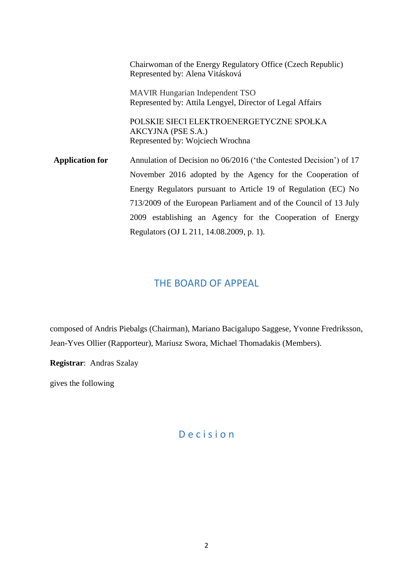| Chairwoman of the Energy Regulatory Office (Czech Republic)<br>Represented by: Alena Vitásková                                                                                                                                                                                                                                                                                   |
|----------------------------------------------------------------------------------------------------------------------------------------------------------------------------------------------------------------------------------------------------------------------------------------------------------------------------------------------------------------------------------|
| <b>MAVIR Hungarian Independent TSO</b><br>Represented by: Attila Lengyel, Director of Legal Affairs                                                                                                                                                                                                                                                                              |
| POLSKIE SIECI ELEKTROENERGETYCZNE SPOŁKA<br>AKCYJNA (PSE S.A.)<br>Represented by: Wojciech Wrochna                                                                                                                                                                                                                                                                               |
| Annulation of Decision no 06/2016 ('the Contested Decision') of 17<br>November 2016 adopted by the Agency for the Cooperation of<br>Energy Regulators pursuant to Article 19 of Regulation (EC) No<br>713/2009 of the European Parliament and of the Council of 13 July<br>2009 establishing an Agency for the Cooperation of Energy<br>Regulators (OJ L 211, 14.08.2009, p. 1). |
|                                                                                                                                                                                                                                                                                                                                                                                  |

## THE BOARD OF APPEAL

composed of Andris Piebalgs (Chairman), Mariano Bacigalupo Saggese, Yvonne Fredriksson, Jean-Yves Ollier (Rapporteur), Mariusz Swora, Michael Thomadakis (Members).

**Registrar**: Andras Szalay

gives the following

## D e c i s i o n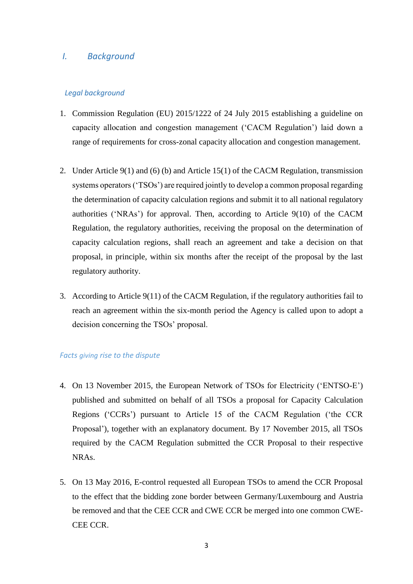### *I. Background*

#### *Legal background*

- 1. Commission Regulation (EU) 2015/1222 of 24 July 2015 establishing a guideline on capacity allocation and congestion management ('CACM Regulation') laid down a range of requirements for cross-zonal capacity allocation and congestion management.
- 2. Under Article 9(1) and (6) (b) and Article 15(1) of the CACM Regulation, transmission systems operators ('TSOs') are required jointly to develop a common proposal regarding the determination of capacity calculation regions and submit it to all national regulatory authorities ('NRAs') for approval. Then, according to Article 9(10) of the CACM Regulation, the regulatory authorities, receiving the proposal on the determination of capacity calculation regions, shall reach an agreement and take a decision on that proposal, in principle, within six months after the receipt of the proposal by the last regulatory authority.
- 3. According to Article 9(11) of the CACM Regulation, if the regulatory authorities fail to reach an agreement within the six-month period the Agency is called upon to adopt a decision concerning the TSOs' proposal.

#### *Facts giving rise to the dispute*

- 4. On 13 November 2015, the European Network of TSOs for Electricity ('ENTSO-E') published and submitted on behalf of all TSOs a proposal for Capacity Calculation Regions ('CCRs') pursuant to Article 15 of the CACM Regulation ('the CCR Proposal'), together with an explanatory document. By 17 November 2015, all TSOs required by the CACM Regulation submitted the CCR Proposal to their respective NRAs.
- 5. On 13 May 2016, E-control requested all European TSOs to amend the CCR Proposal to the effect that the bidding zone border between Germany/Luxembourg and Austria be removed and that the CEE CCR and CWE CCR be merged into one common CWE-CEE CCR.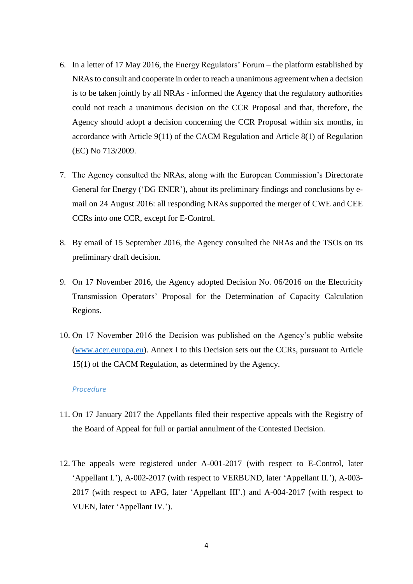- 6. In a letter of 17 May 2016, the Energy Regulators' Forum the platform established by NRAsto consult and cooperate in order to reach a unanimous agreement when a decision is to be taken jointly by all NRAs - informed the Agency that the regulatory authorities could not reach a unanimous decision on the CCR Proposal and that, therefore, the Agency should adopt a decision concerning the CCR Proposal within six months, in accordance with Article 9(11) of the CACM Regulation and Article 8(1) of Regulation (EC) No 713/2009.
- 7. The Agency consulted the NRAs, along with the European Commission's Directorate General for Energy ('DG ENER'), about its preliminary findings and conclusions by email on 24 August 2016: all responding NRAs supported the merger of CWE and CEE CCRs into one CCR, except for E-Control.
- 8. By email of 15 September 2016, the Agency consulted the NRAs and the TSOs on its preliminary draft decision.
- 9. On 17 November 2016, the Agency adopted Decision No. 06/2016 on the Electricity Transmission Operators' Proposal for the Determination of Capacity Calculation Regions.
- 10. On 17 November 2016 the Decision was published on the Agency's public website [\(www.acer.europa.eu\)](http://www.acer.europa.eu/). Annex I to this Decision sets out the CCRs, pursuant to Article 15(1) of the CACM Regulation, as determined by the Agency.

#### *Procedure*

- 11. On 17 January 2017 the Appellants filed their respective appeals with the Registry of the Board of Appeal for full or partial annulment of the Contested Decision.
- 12. The appeals were registered under A-001-2017 (with respect to E-Control, later 'Appellant I.'), A-002-2017 (with respect to VERBUND, later 'Appellant II.'), A-003- 2017 (with respect to APG, later 'Appellant III'.) and A-004-2017 (with respect to VUEN, later 'Appellant IV.').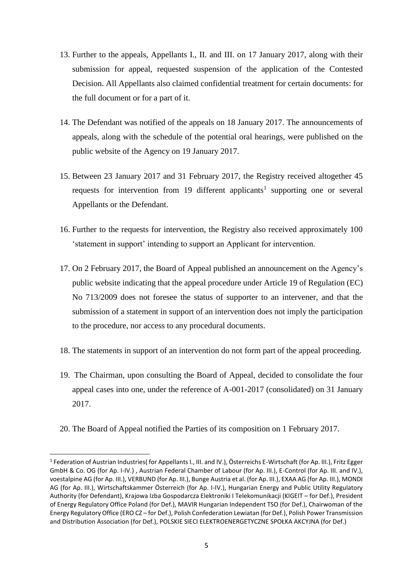- 13. Further to the appeals, Appellants I., II. and III. on 17 January 2017, along with their submission for appeal, requested suspension of the application of the Contested Decision. All Appellants also claimed confidential treatment for certain documents: for the full document or for a part of it.
- 14. The Defendant was notified of the appeals on 18 January 2017. The announcements of appeals, along with the schedule of the potential oral hearings, were published on the public website of the Agency on 19 January 2017.
- 15. Between 23 January 2017 and 31 February 2017, the Registry received altogether 45 requests for intervention from 19 different applicants<sup>1</sup> supporting one or several Appellants or the Defendant.
- 16. Further to the requests for intervention, the Registry also received approximately 100 'statement in support' intending to support an Applicant for intervention.
- 17. On 2 February 2017, the Board of Appeal published an announcement on the Agency's public website indicating that the appeal procedure under Article 19 of Regulation (EC) No 713/2009 does not foresee the status of supporter to an intervener, and that the submission of a statement in support of an intervention does not imply the participation to the procedure, nor access to any procedural documents.
- 18. The statements in support of an intervention do not form part of the appeal proceeding.
- 19. The Chairman, upon consulting the Board of Appeal, decided to consolidate the four appeal cases into one, under the reference of A-001-2017 (consolidated) on 31 January 2017.
- 20. The Board of Appeal notified the Parties of its composition on 1 February 2017.

1

<sup>1</sup> Federation of Austrian Industries( for Appellants I., III. and IV.), Österreichs E-Wirtschaft (for Ap. III.), Fritz Egger GmbH & Co. OG (for Ap. I-IV.) , Austrian Federal Chamber of Labour (for Ap. III.), E-Control (for Ap. III. and IV.), voestalpine AG (for Ap. III.), VERBUND (for Ap. III.), Bunge Austria et al. (for Ap. III.), EXAA AG (for Ap. III.), MONDI AG (for Ap. III.), Wirtschaftskammer Österreich (for Ap. I-IV.), Hungarian Energy and Public Utility Regulatory Authority (for Defendant), Krajowa Izba Gospodarcza Elektroniki I Telekomunikacji (KIGEIT – for Def.), President of Energy Regulatory Office Poland (for Def.), MAVIR Hungarian Independent TSO (for Def.), Chairwoman of the Energy Regulatory Office (ERO CZ – for Def.), Polish Confederation Lewiatan (for Def.), Polish Power Transmission and Distribution Association (for Def.), POLSKIE SIECI ELEKTROENERGETYCZNE SPOŁKA AKCYJNA (for Def.)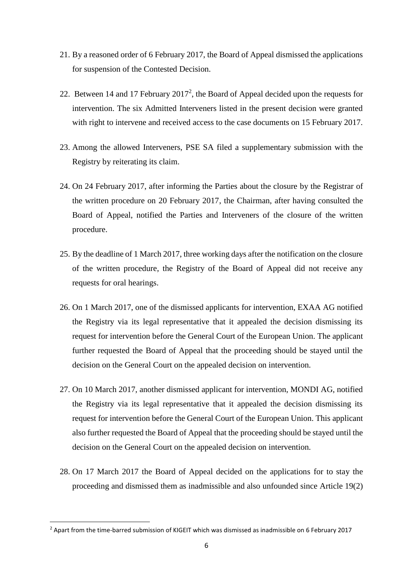- 21. By a reasoned order of 6 February 2017, the Board of Appeal dismissed the applications for suspension of the Contested Decision.
- 22. Between 14 and 17 February  $2017^2$ , the Board of Appeal decided upon the requests for intervention. The six Admitted Interveners listed in the present decision were granted with right to intervene and received access to the case documents on 15 February 2017.
- 23. Among the allowed Interveners, PSE SA filed a supplementary submission with the Registry by reiterating its claim.
- 24. On 24 February 2017, after informing the Parties about the closure by the Registrar of the written procedure on 20 February 2017, the Chairman, after having consulted the Board of Appeal, notified the Parties and Interveners of the closure of the written procedure.
- 25. By the deadline of 1 March 2017, three working days after the notification on the closure of the written procedure, the Registry of the Board of Appeal did not receive any requests for oral hearings.
- 26. On 1 March 2017, one of the dismissed applicants for intervention, EXAA AG notified the Registry via its legal representative that it appealed the decision dismissing its request for intervention before the General Court of the European Union. The applicant further requested the Board of Appeal that the proceeding should be stayed until the decision on the General Court on the appealed decision on intervention.
- 27. On 10 March 2017, another dismissed applicant for intervention, MONDI AG, notified the Registry via its legal representative that it appealed the decision dismissing its request for intervention before the General Court of the European Union. This applicant also further requested the Board of Appeal that the proceeding should be stayed until the decision on the General Court on the appealed decision on intervention.
- 28. On 17 March 2017 the Board of Appeal decided on the applications for to stay the proceeding and dismissed them as inadmissible and also unfounded since Article 19(2)

<sup>2</sup> Apart from the time-barred submission of KIGEIT which was dismissed as inadmissible on 6 February 2017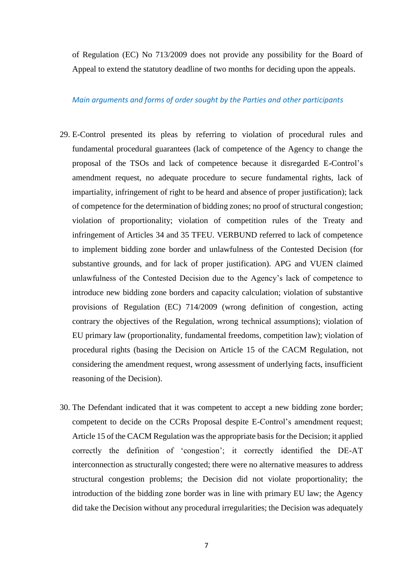of Regulation (EC) No 713/2009 does not provide any possibility for the Board of Appeal to extend the statutory deadline of two months for deciding upon the appeals.

#### *Main arguments and forms of order sought by the Parties and other participants*

- 29. E-Control presented its pleas by referring to violation of procedural rules and fundamental procedural guarantees (lack of competence of the Agency to change the proposal of the TSOs and lack of competence because it disregarded E-Control's amendment request, no adequate procedure to secure fundamental rights, lack of impartiality, infringement of right to be heard and absence of proper justification); lack of competence for the determination of bidding zones; no proof of structural congestion; violation of proportionality; violation of competition rules of the Treaty and infringement of Articles 34 and 35 TFEU. VERBUND referred to lack of competence to implement bidding zone border and unlawfulness of the Contested Decision (for substantive grounds, and for lack of proper justification). APG and VUEN claimed unlawfulness of the Contested Decision due to the Agency's lack of competence to introduce new bidding zone borders and capacity calculation; violation of substantive provisions of Regulation (EC) 714/2009 (wrong definition of congestion, acting contrary the objectives of the Regulation, wrong technical assumptions); violation of EU primary law (proportionality, fundamental freedoms, competition law); violation of procedural rights (basing the Decision on Article 15 of the CACM Regulation, not considering the amendment request, wrong assessment of underlying facts, insufficient reasoning of the Decision).
- 30. The Defendant indicated that it was competent to accept a new bidding zone border; competent to decide on the CCRs Proposal despite E-Control's amendment request; Article 15 of the CACM Regulation was the appropriate basis for the Decision; it applied correctly the definition of 'congestion'; it correctly identified the DE-AT interconnection as structurally congested; there were no alternative measures to address structural congestion problems; the Decision did not violate proportionality; the introduction of the bidding zone border was in line with primary EU law; the Agency did take the Decision without any procedural irregularities; the Decision was adequately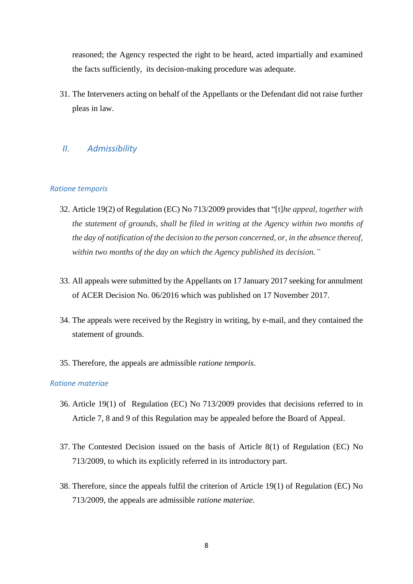reasoned; the Agency respected the right to be heard, acted impartially and examined the facts sufficiently, its decision-making procedure was adequate.

31. The Interveners acting on behalf of the Appellants or the Defendant did not raise further pleas in law.

### *II. Admissibility*

#### *Ratione temporis*

- 32. Article 19(2) of Regulation (EC) No 713/2009 provides that "[t]*he appeal, together with the statement of grounds, shall be filed in writing at the Agency within two months of the day of notification of the decision to the person concerned, or, in the absence thereof, within two months of the day on which the Agency published its decision."*
- 33. All appeals were submitted by the Appellants on 17 January 2017 seeking for annulment of ACER Decision No. 06/2016 which was published on 17 November 2017.
- 34. The appeals were received by the Registry in writing, by e-mail, and they contained the statement of grounds.
- 35. Therefore, the appeals are admissible *ratione temporis*.

#### *Ratione materiae*

- 36. Article 19(1) ofRegulation (EC) No 713/2009 provides that decisions referred to in Article 7, 8 and 9 of this Regulation may be appealed before the Board of Appeal.
- 37. The Contested Decision issued on the basis of Article 8(1) of Regulation (EC) No 713/2009, to which its explicitly referred in its introductory part.
- 38. Therefore, since the appeals fulfil the criterion of Article 19(1) of Regulation (EC) No 713/2009, the appeals are admissible *ratione materiae.*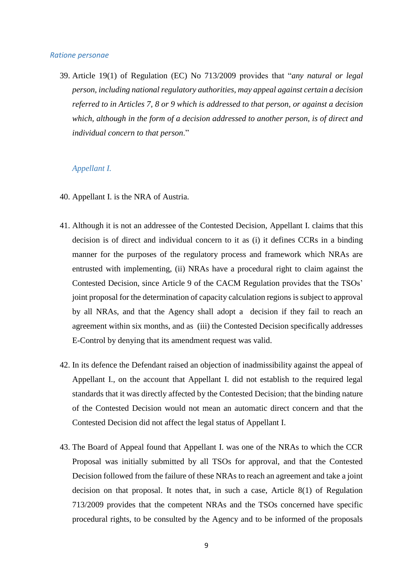#### *Ratione personae*

39. Article 19(1) of Regulation (EC) No 713/2009 provides that "*any natural or legal person, including national regulatory authorities, may appeal against certain a decision referred to in Articles 7, 8 or 9 which is addressed to that person, or against a decision which, although in the form of a decision addressed to another person, is of direct and individual concern to that person*."

#### *Appellant I.*

- 40. Appellant I. is the NRA of Austria.
- 41. Although it is not an addressee of the Contested Decision, Appellant I. claims that this decision is of direct and individual concern to it as (i) it defines CCRs in a binding manner for the purposes of the regulatory process and framework which NRAs are entrusted with implementing, (ii) NRAs have a procedural right to claim against the Contested Decision, since Article 9 of the CACM Regulation provides that the TSOs' joint proposal for the determination of capacity calculation regions is subject to approval by all NRAs, and that the Agency shall adopt a decision if they fail to reach an agreement within six months, and as (iii) the Contested Decision specifically addresses E-Control by denying that its amendment request was valid.
- 42. In its defence the Defendant raised an objection of inadmissibility against the appeal of Appellant I., on the account that Appellant I. did not establish to the required legal standards that it was directly affected by the Contested Decision; that the binding nature of the Contested Decision would not mean an automatic direct concern and that the Contested Decision did not affect the legal status of Appellant I.
- 43. The Board of Appeal found that Appellant I. was one of the NRAs to which the CCR Proposal was initially submitted by all TSOs for approval, and that the Contested Decision followed from the failure of these NRAs to reach an agreement and take a joint decision on that proposal. It notes that, in such a case, Article 8(1) of Regulation 713/2009 provides that the competent NRAs and the TSOs concerned have specific procedural rights, to be consulted by the Agency and to be informed of the proposals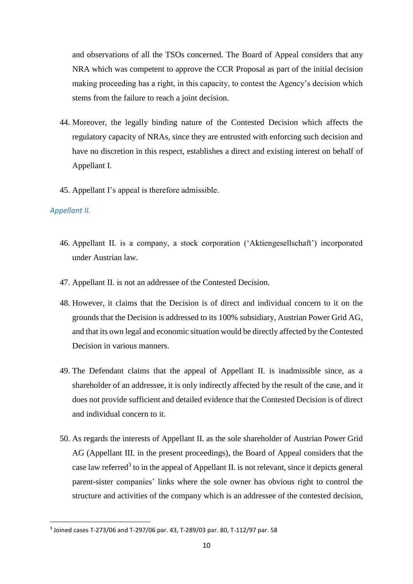and observations of all the TSOs concerned. The Board of Appeal considers that any NRA which was competent to approve the CCR Proposal as part of the initial decision making proceeding has a right, in this capacity, to contest the Agency's decision which stems from the failure to reach a joint decision.

- 44. Moreover, the legally binding nature of the Contested Decision which affects the regulatory capacity of NRAs, since they are entrusted with enforcing such decision and have no discretion in this respect, establishes a direct and existing interest on behalf of Appellant I.
- 45. Appellant I's appeal is therefore admissible.

### *Appellant II.*

- 46. Appellant II. is a company, a stock corporation ('Aktiengesellschaft') incorporated under Austrian law.
- 47. Appellant II. is not an addressee of the Contested Decision.
- 48. However, it claims that the Decision is of direct and individual concern to it on the grounds that the Decision is addressed to its 100% subsidiary, Austrian Power Grid AG, and that its own legal and economic situation would be directly affected by the Contested Decision in various manners.
- 49. The Defendant claims that the appeal of Appellant II. is inadmissible since, as a shareholder of an addressee, it is only indirectly affected by the result of the case, and it does not provide sufficient and detailed evidence that the Contested Decision is of direct and individual concern to it.
- 50. As regards the interests of Appellant II. as the sole shareholder of Austrian Power Grid AG (Appellant III. in the present proceedings), the Board of Appeal considers that the case law referred<sup>3</sup> to in the appeal of Appellant II. is not relevant, since it depicts general parent-sister companies' links where the sole owner has obvious right to control the structure and activities of the company which is an addressee of the contested decision,

<sup>3</sup> Joined cases T-273/06 and T-297/06 par. 43, T-289/03 par. 80, T-112/97 par. 58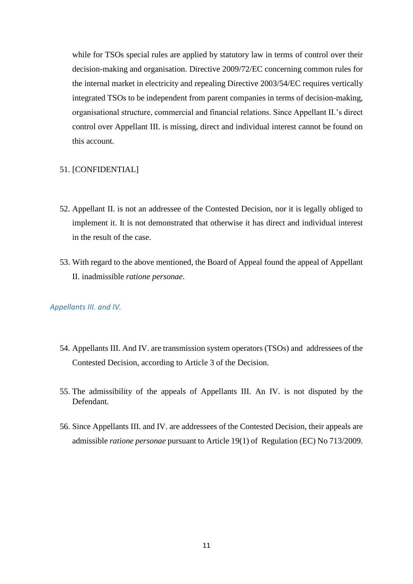while for TSOs special rules are applied by statutory law in terms of control over their decision-making and organisation. Directive 2009/72/EC concerning common rules for the internal market in electricity and repealing Directive 2003/54/EC requires vertically integrated TSOs to be independent from parent companies in terms of decision-making, organisational structure, commercial and financial relations. Since Appellant II.'s direct control over Appellant III. is missing, direct and individual interest cannot be found on this account.

#### 51. [CONFIDENTIAL]

- 52. Appellant II. is not an addressee of the Contested Decision, nor it is legally obliged to implement it. It is not demonstrated that otherwise it has direct and individual interest in the result of the case.
- 53. With regard to the above mentioned, the Board of Appeal found the appeal of Appellant II. inadmissible *ratione personae*.

#### *Appellants III. and IV.*

- 54. Appellants III. And IV. are transmission system operators (TSOs) and addressees of the Contested Decision, according to Article 3 of the Decision.
- 55. The admissibility of the appeals of Appellants III. An IV. is not disputed by the Defendant.
- 56. Since Appellants III. and IV. are addressees of the Contested Decision, their appeals are admissible *ratione personae* pursuant to Article 19(1) of Regulation (EC) No 713/2009.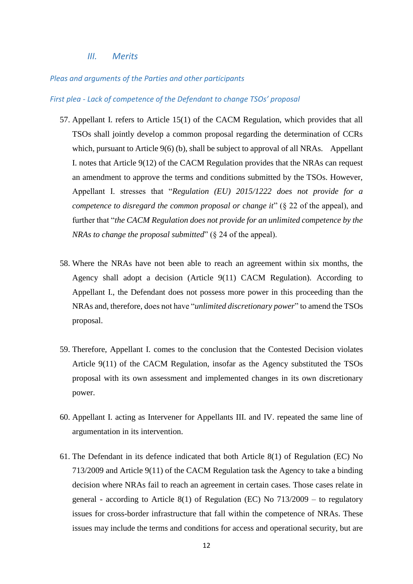*III. Merits*

#### *Pleas and arguments of the Parties and other participants*

#### *First plea - Lack of competence of the Defendant to change TSOs' proposal*

- 57. Appellant I. refers to Article 15(1) of the CACM Regulation, which provides that all TSOs shall jointly develop a common proposal regarding the determination of CCRs which, pursuant to Article 9(6) (b), shall be subject to approval of all NRAs. Appellant I. notes that Article 9(12) of the CACM Regulation provides that the NRAs can request an amendment to approve the terms and conditions submitted by the TSOs. However, Appellant I. stresses that "*Regulation (EU) 2015/1222 does not provide for a competence to disregard the common proposal or change it*" (§ 22 of the appeal), and further that "*the CACM Regulation does not provide for an unlimited competence by the NRAs to change the proposal submitted*" (§ 24 of the appeal).
- 58. Where the NRAs have not been able to reach an agreement within six months, the Agency shall adopt a decision (Article 9(11) CACM Regulation). According to Appellant I., the Defendant does not possess more power in this proceeding than the NRAs and, therefore, does not have "*unlimited discretionary power*" to amend the TSOs proposal.
- 59. Therefore, Appellant I. comes to the conclusion that the Contested Decision violates Article 9(11) of the CACM Regulation, insofar as the Agency substituted the TSOs proposal with its own assessment and implemented changes in its own discretionary power.
- 60. Appellant I. acting as Intervener for Appellants III. and IV. repeated the same line of argumentation in its intervention.
- 61. The Defendant in its defence indicated that both Article 8(1) of Regulation (EC) No 713/2009 and Article 9(11) of the CACM Regulation task the Agency to take a binding decision where NRAs fail to reach an agreement in certain cases. Those cases relate in general - according to Article 8(1) of Regulation (EC) No  $713/2009$  – to regulatory issues for cross-border infrastructure that fall within the competence of NRAs. These issues may include the terms and conditions for access and operational security, but are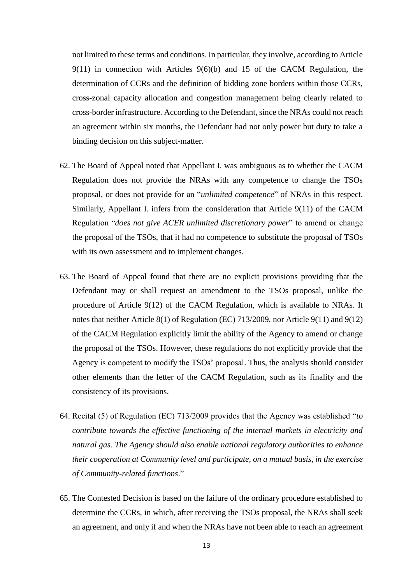not limited to these terms and conditions. In particular, they involve, according to Article 9(11) in connection with Articles 9(6)(b) and 15 of the CACM Regulation, the determination of CCRs and the definition of bidding zone borders within those CCRs, cross-zonal capacity allocation and congestion management being clearly related to cross-border infrastructure. According to the Defendant, since the NRAs could not reach an agreement within six months, the Defendant had not only power but duty to take a binding decision on this subject-matter.

- 62. The Board of Appeal noted that Appellant I. was ambiguous as to whether the CACM Regulation does not provide the NRAs with any competence to change the TSOs proposal, or does not provide for an "*unlimited competence*" of NRAs in this respect. Similarly, Appellant I. infers from the consideration that Article 9(11) of the CACM Regulation "*does not give ACER unlimited discretionary power*" to amend or change the proposal of the TSOs, that it had no competence to substitute the proposal of TSOs with its own assessment and to implement changes.
- 63. The Board of Appeal found that there are no explicit provisions providing that the Defendant may or shall request an amendment to the TSOs proposal, unlike the procedure of Article 9(12) of the CACM Regulation, which is available to NRAs. It notes that neither Article 8(1) of Regulation (EC) 713/2009, nor Article 9(11) and 9(12) of the CACM Regulation explicitly limit the ability of the Agency to amend or change the proposal of the TSOs. However, these regulations do not explicitly provide that the Agency is competent to modify the TSOs' proposal. Thus, the analysis should consider other elements than the letter of the CACM Regulation, such as its finality and the consistency of its provisions.
- 64. Recital (5) of Regulation (EC) 713/2009 provides that the Agency was established "*to contribute towards the effective functioning of the internal markets in electricity and natural gas. The Agency should also enable national regulatory authorities to enhance their cooperation at Community level and participate, on a mutual basis, in the exercise of Community-related functions*."
- 65. The Contested Decision is based on the failure of the ordinary procedure established to determine the CCRs, in which, after receiving the TSOs proposal, the NRAs shall seek an agreement, and only if and when the NRAs have not been able to reach an agreement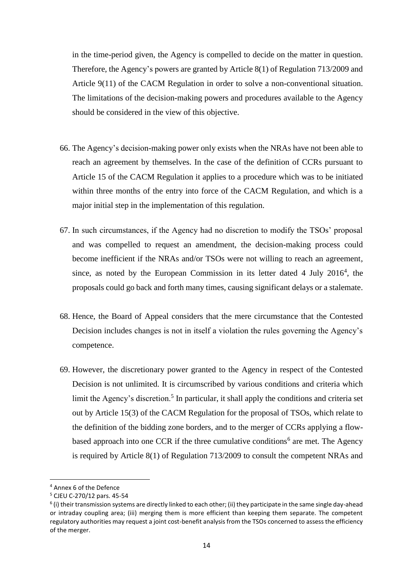in the time-period given, the Agency is compelled to decide on the matter in question. Therefore, the Agency's powers are granted by Article 8(1) of Regulation 713/2009 and Article 9(11) of the CACM Regulation in order to solve a non-conventional situation. The limitations of the decision-making powers and procedures available to the Agency should be considered in the view of this objective.

- 66. The Agency's decision-making power only exists when the NRAs have not been able to reach an agreement by themselves. In the case of the definition of CCRs pursuant to Article 15 of the CACM Regulation it applies to a procedure which was to be initiated within three months of the entry into force of the CACM Regulation, and which is a major initial step in the implementation of this regulation.
- 67. In such circumstances, if the Agency had no discretion to modify the TSOs' proposal and was compelled to request an amendment, the decision-making process could become inefficient if the NRAs and/or TSOs were not willing to reach an agreement, since, as noted by the European Commission in its letter dated  $4$  July 2016<sup>4</sup>, the proposals could go back and forth many times, causing significant delays or a stalemate.
- 68. Hence, the Board of Appeal considers that the mere circumstance that the Contested Decision includes changes is not in itself a violation the rules governing the Agency's competence.
- 69. However, the discretionary power granted to the Agency in respect of the Contested Decision is not unlimited. It is circumscribed by various conditions and criteria which limit the Agency's discretion.<sup>5</sup> In particular, it shall apply the conditions and criteria set out by Article 15(3) of the CACM Regulation for the proposal of TSOs, which relate to the definition of the bidding zone borders, and to the merger of CCRs applying a flowbased approach into one CCR if the three cumulative conditions<sup>6</sup> are met. The Agency is required by Article 8(1) of Regulation 713/2009 to consult the competent NRAs and

<sup>4</sup> Annex 6 of the Defence

<sup>5</sup> CJEU C-270/12 pars. 45-54

<sup>&</sup>lt;sup>6</sup> (i) their transmission systems are directly linked to each other; (ii) they participate in the same single day-ahead or intraday coupling area; (iii) merging them is more efficient than keeping them separate. The competent regulatory authorities may request a joint cost-benefit analysis from the TSOs concerned to assess the efficiency of the merger.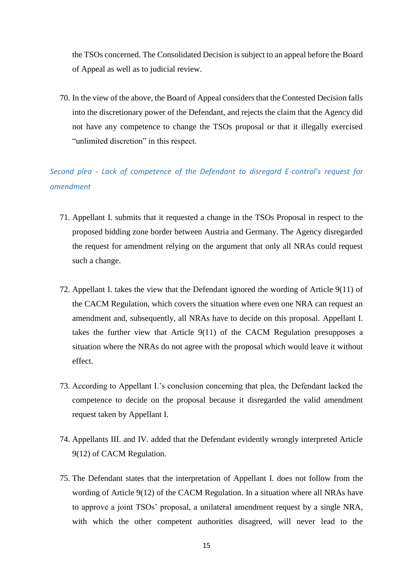the TSOs concerned. The Consolidated Decision is subject to an appeal before the Board of Appeal as well as to judicial review.

70. In the view of the above, the Board of Appeal considers that the Contested Decision falls into the discretionary power of the Defendant, and rejects the claim that the Agency did not have any competence to change the TSOs proposal or that it illegally exercised "unlimited discretion" in this respect.

*Second plea - Lack of competence of the Defendant to disregard E-control's request for amendment*

- 71. Appellant I. submits that it requested a change in the TSOs Proposal in respect to the proposed bidding zone border between Austria and Germany. The Agency disregarded the request for amendment relying on the argument that only all NRAs could request such a change.
- 72. Appellant I. takes the view that the Defendant ignored the wording of Article 9(11) of the CACM Regulation, which covers the situation where even one NRA can request an amendment and, subsequently, all NRAs have to decide on this proposal. Appellant I. takes the further view that Article 9(11) of the CACM Regulation presupposes a situation where the NRAs do not agree with the proposal which would leave it without effect.
- 73. According to Appellant I.'s conclusion concerning that plea, the Defendant lacked the competence to decide on the proposal because it disregarded the valid amendment request taken by Appellant I.
- 74. Appellants III. and IV. added that the Defendant evidently wrongly interpreted Article 9(12) of CACM Regulation.
- 75. The Defendant states that the interpretation of Appellant I. does not follow from the wording of Article 9(12) of the CACM Regulation. In a situation where all NRAs have to approve a joint TSOs' proposal, a unilateral amendment request by a single NRA, with which the other competent authorities disagreed, will never lead to the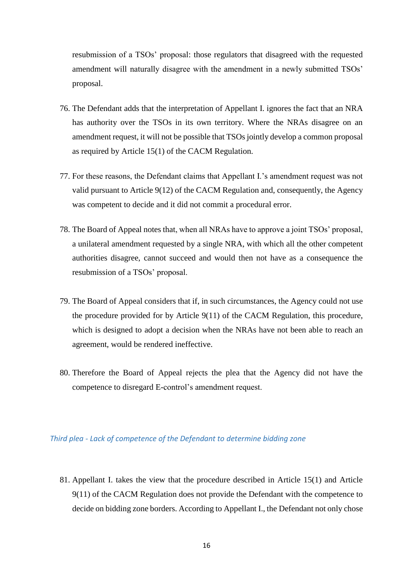resubmission of a TSOs' proposal: those regulators that disagreed with the requested amendment will naturally disagree with the amendment in a newly submitted TSOs' proposal.

- 76. The Defendant adds that the interpretation of Appellant I. ignores the fact that an NRA has authority over the TSOs in its own territory. Where the NRAs disagree on an amendment request, it will not be possible that TSOs jointly develop a common proposal as required by Article 15(1) of the CACM Regulation.
- 77. For these reasons, the Defendant claims that Appellant I.'s amendment request was not valid pursuant to Article 9(12) of the CACM Regulation and, consequently, the Agency was competent to decide and it did not commit a procedural error.
- 78. The Board of Appeal notes that, when all NRAs have to approve a joint TSOs' proposal, a unilateral amendment requested by a single NRA, with which all the other competent authorities disagree, cannot succeed and would then not have as a consequence the resubmission of a TSOs' proposal.
- 79. The Board of Appeal considers that if, in such circumstances, the Agency could not use the procedure provided for by Article 9(11) of the CACM Regulation, this procedure, which is designed to adopt a decision when the NRAs have not been able to reach an agreement, would be rendered ineffective.
- 80. Therefore the Board of Appeal rejects the plea that the Agency did not have the competence to disregard E-control's amendment request.

#### *Third plea - Lack of competence of the Defendant to determine bidding zone*

81. Appellant I. takes the view that the procedure described in Article 15(1) and Article 9(11) of the CACM Regulation does not provide the Defendant with the competence to decide on bidding zone borders. According to Appellant I., the Defendant not only chose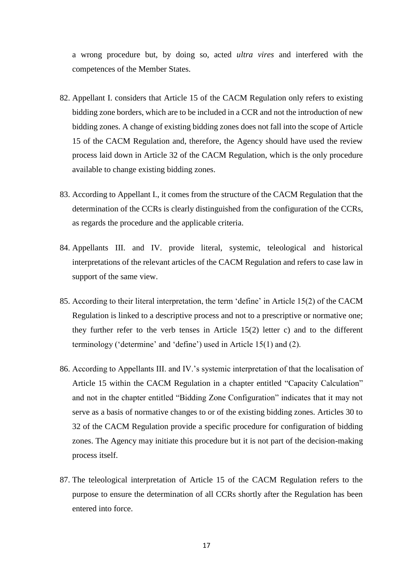a wrong procedure but, by doing so, acted *ultra vires* and interfered with the competences of the Member States.

- 82. Appellant I. considers that Article 15 of the CACM Regulation only refers to existing bidding zone borders, which are to be included in a CCR and not the introduction of new bidding zones. A change of existing bidding zones does not fall into the scope of Article 15 of the CACM Regulation and, therefore, the Agency should have used the review process laid down in Article 32 of the CACM Regulation, which is the only procedure available to change existing bidding zones.
- 83. According to Appellant I., it comes from the structure of the CACM Regulation that the determination of the CCRs is clearly distinguished from the configuration of the CCRs, as regards the procedure and the applicable criteria.
- 84. Appellants III. and IV. provide literal, systemic, teleological and historical interpretations of the relevant articles of the CACM Regulation and refers to case law in support of the same view.
- 85. According to their literal interpretation, the term 'define' in Article 15(2) of the CACM Regulation is linked to a descriptive process and not to a prescriptive or normative one; they further refer to the verb tenses in Article 15(2) letter c) and to the different terminology ('determine' and 'define') used in Article 15(1) and (2).
- 86. According to Appellants III. and IV.'s systemic interpretation of that the localisation of Article 15 within the CACM Regulation in a chapter entitled "Capacity Calculation" and not in the chapter entitled "Bidding Zone Configuration" indicates that it may not serve as a basis of normative changes to or of the existing bidding zones. Articles 30 to 32 of the CACM Regulation provide a specific procedure for configuration of bidding zones. The Agency may initiate this procedure but it is not part of the decision-making process itself.
- 87. The teleological interpretation of Article 15 of the CACM Regulation refers to the purpose to ensure the determination of all CCRs shortly after the Regulation has been entered into force.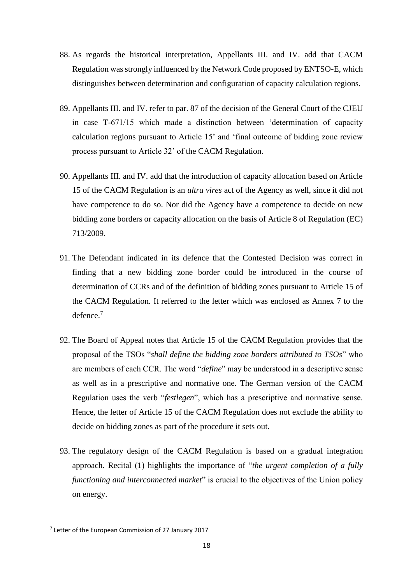- 88. As regards the historical interpretation, Appellants III. and IV. add that CACM Regulation was strongly influenced by the Network Code proposed by ENTSO-E, which distinguishes between determination and configuration of capacity calculation regions.
- 89. Appellants III. and IV. refer to par. 87 of the decision of the General Court of the CJEU in case T-671/15 which made a distinction between 'determination of capacity calculation regions pursuant to Article 15' and 'final outcome of bidding zone review process pursuant to Article 32' of the CACM Regulation.
- 90. Appellants III. and IV. add that the introduction of capacity allocation based on Article 15 of the CACM Regulation is an *ultra vires* act of the Agency as well, since it did not have competence to do so. Nor did the Agency have a competence to decide on new bidding zone borders or capacity allocation on the basis of Article 8 of Regulation (EC) 713/2009.
- 91. The Defendant indicated in its defence that the Contested Decision was correct in finding that a new bidding zone border could be introduced in the course of determination of CCRs and of the definition of bidding zones pursuant to Article 15 of the CACM Regulation. It referred to the letter which was enclosed as Annex 7 to the defence.<sup>7</sup>
- 92. The Board of Appeal notes that Article 15 of the CACM Regulation provides that the proposal of the TSOs "*shall define the bidding zone borders attributed to TSOs*" who are members of each CCR. The word "*define*" may be understood in a descriptive sense as well as in a prescriptive and normative one. The German version of the CACM Regulation uses the verb "*festlegen*", which has a prescriptive and normative sense. Hence, the letter of Article 15 of the CACM Regulation does not exclude the ability to decide on bidding zones as part of the procedure it sets out.
- 93. The regulatory design of the CACM Regulation is based on a gradual integration approach. Recital (1) highlights the importance of "*the urgent completion of a fully functioning and interconnected market*" is crucial to the objectives of the Union policy on energy.

<sup>&</sup>lt;sup>7</sup> Letter of the European Commission of 27 January 2017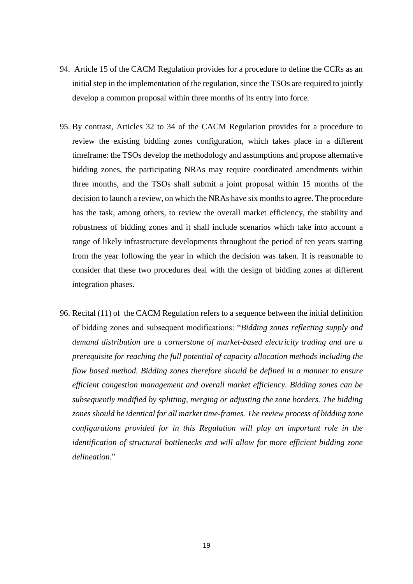- 94. Article 15 of the CACM Regulation provides for a procedure to define the CCRs as an initial step in the implementation of the regulation, since the TSOs are required to jointly develop a common proposal within three months of its entry into force.
- 95. By contrast, Articles 32 to 34 of the CACM Regulation provides for a procedure to review the existing bidding zones configuration, which takes place in a different timeframe: the TSOs develop the methodology and assumptions and propose alternative bidding zones, the participating NRAs may require coordinated amendments within three months, and the TSOs shall submit a joint proposal within 15 months of the decision to launch a review, on which the NRAs have six months to agree. The procedure has the task, among others, to review the overall market efficiency, the stability and robustness of bidding zones and it shall include scenarios which take into account a range of likely infrastructure developments throughout the period of ten years starting from the year following the year in which the decision was taken. It is reasonable to consider that these two procedures deal with the design of bidding zones at different integration phases.
- 96. Recital (11) of the CACM Regulation refers to a sequence between the initial definition of bidding zones and subsequent modifications: "*Bidding zones reflecting supply and demand distribution are a cornerstone of market-based electricity trading and are a prerequisite for reaching the full potential of capacity allocation methods including the flow based method. Bidding zones therefore should be defined in a manner to ensure efficient congestion management and overall market efficiency. Bidding zones can be subsequently modified by splitting, merging or adjusting the zone borders. The bidding zones should be identical for all market time-frames. The review process of bidding zone configurations provided for in this Regulation will play an important role in the identification of structural bottlenecks and will allow for more efficient bidding zone delineation*."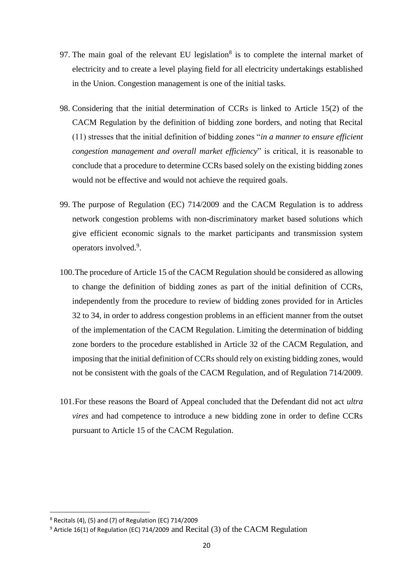- 97. The main goal of the relevant EU legislation<sup>8</sup> is to complete the internal market of electricity and to create a level playing field for all electricity undertakings established in the Union. Congestion management is one of the initial tasks.
- 98. Considering that the initial determination of CCRs is linked to Article 15(2) of the CACM Regulation by the definition of bidding zone borders, and noting that Recital (11) stresses that the initial definition of bidding zones "*in a manner to ensure efficient congestion management and overall market efficiency*" is critical, it is reasonable to conclude that a procedure to determine CCRs based solely on the existing bidding zones would not be effective and would not achieve the required goals.
- 99. The purpose of Regulation (EC) 714/2009 and the CACM Regulation is to address network congestion problems with non-discriminatory market based solutions which give efficient economic signals to the market participants and transmission system operators involved.<sup>9</sup>.
- 100.The procedure of Article 15 of the CACM Regulation should be considered as allowing to change the definition of bidding zones as part of the initial definition of CCRs, independently from the procedure to review of bidding zones provided for in Articles 32 to 34, in order to address congestion problems in an efficient manner from the outset of the implementation of the CACM Regulation. Limiting the determination of bidding zone borders to the procedure established in Article 32 of the CACM Regulation, and imposing that the initial definition of CCRs should rely on existing bidding zones, would not be consistent with the goals of the CACM Regulation, and of Regulation 714/2009.
- 101.For these reasons the Board of Appeal concluded that the Defendant did not act *ultra vires* and had competence to introduce a new bidding zone in order to define CCRs pursuant to Article 15 of the CACM Regulation.

 $8$  Recitals (4), (5) and (7) of Regulation (EC) 714/2009

<sup>9</sup> Article 16(1) of Regulation (EC) 714/2009 and Recital (3) of the CACM Regulation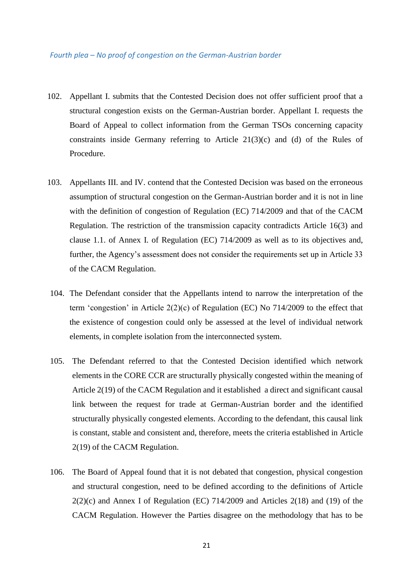#### *Fourth plea – No proof of congestion on the German-Austrian border*

- 102. Appellant I. submits that the Contested Decision does not offer sufficient proof that a structural congestion exists on the German-Austrian border. Appellant I. requests the Board of Appeal to collect information from the German TSOs concerning capacity constraints inside Germany referring to Article 21(3)(c) and (d) of the Rules of Procedure.
- 103. Appellants III. and IV. contend that the Contested Decision was based on the erroneous assumption of structural congestion on the German-Austrian border and it is not in line with the definition of congestion of Regulation (EC) 714/2009 and that of the CACM Regulation. The restriction of the transmission capacity contradicts Article 16(3) and clause 1.1. of Annex I. of Regulation (EC) 714/2009 as well as to its objectives and, further, the Agency's assessment does not consider the requirements set up in Article 33 of the CACM Regulation.
- 104. The Defendant consider that the Appellants intend to narrow the interpretation of the term 'congestion' in Article 2(2)(c) of Regulation (EC) No 714/2009 to the effect that the existence of congestion could only be assessed at the level of individual network elements, in complete isolation from the interconnected system.
- 105. The Defendant referred to that the Contested Decision identified which network elements in the CORE CCR are structurally physically congested within the meaning of Article 2(19) of the CACM Regulation and it established a direct and significant causal link between the request for trade at German-Austrian border and the identified structurally physically congested elements. According to the defendant, this causal link is constant, stable and consistent and, therefore, meets the criteria established in Article 2(19) of the CACM Regulation.
- 106. The Board of Appeal found that it is not debated that congestion, physical congestion and structural congestion, need to be defined according to the definitions of Article  $2(2)(c)$  and Annex I of Regulation (EC) 714/2009 and Articles 2(18) and (19) of the CACM Regulation. However the Parties disagree on the methodology that has to be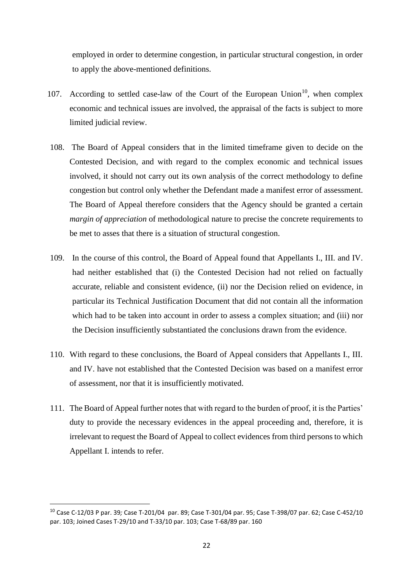employed in order to determine congestion, in particular structural congestion, in order to apply the above-mentioned definitions.

- 107. According to settled case-law of the Court of the European Union<sup>10</sup>, when complex economic and technical issues are involved, the appraisal of the facts is subject to more limited judicial review.
- 108. The Board of Appeal considers that in the limited timeframe given to decide on the Contested Decision, and with regard to the complex economic and technical issues involved, it should not carry out its own analysis of the correct methodology to define congestion but control only whether the Defendant made a manifest error of assessment. The Board of Appeal therefore considers that the Agency should be granted a certain *margin of appreciation* of methodological nature to precise the concrete requirements to be met to asses that there is a situation of structural congestion.
- 109. In the course of this control, the Board of Appeal found that Appellants I., III. and IV. had neither established that (i) the Contested Decision had not relied on factually accurate, reliable and consistent evidence, (ii) nor the Decision relied on evidence, in particular its Technical Justification Document that did not contain all the information which had to be taken into account in order to assess a complex situation; and (iii) nor the Decision insufficiently substantiated the conclusions drawn from the evidence.
- 110. With regard to these conclusions, the Board of Appeal considers that Appellants I., III. and IV. have not established that the Contested Decision was based on a manifest error of assessment, nor that it is insufficiently motivated.
- 111. The Board of Appeal further notes that with regard to the burden of proof, it is the Parties' duty to provide the necessary evidences in the appeal proceeding and, therefore, it is irrelevant to request the Board of Appeal to collect evidences from third persons to which Appellant I. intends to refer.

<sup>10</sup> Case C-12/03 P par. 39*;* Case T-201/04 par. 89; Case T-301/04 par. 95; Case T-398/07 par. 62; Case C-452/10 par. 103; Joined Cases T-29/10 and T-33/10 par. 103; Case T-68/89 par. 160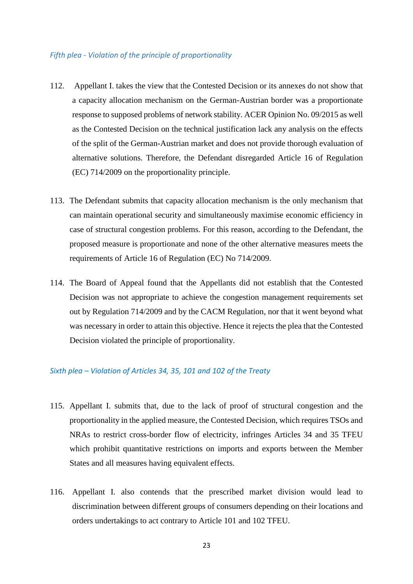#### *Fifth plea - Violation of the principle of proportionality*

- 112. Appellant I. takes the view that the Contested Decision or its annexes do not show that a capacity allocation mechanism on the German-Austrian border was a proportionate response to supposed problems of network stability. ACER Opinion No. 09/2015 as well as the Contested Decision on the technical justification lack any analysis on the effects of the split of the German-Austrian market and does not provide thorough evaluation of alternative solutions. Therefore, the Defendant disregarded Article 16 of Regulation (EC) 714/2009 on the proportionality principle.
- 113. The Defendant submits that capacity allocation mechanism is the only mechanism that can maintain operational security and simultaneously maximise economic efficiency in case of structural congestion problems. For this reason, according to the Defendant, the proposed measure is proportionate and none of the other alternative measures meets the requirements of Article 16 of Regulation (EC) No 714/2009.
- 114. The Board of Appeal found that the Appellants did not establish that the Contested Decision was not appropriate to achieve the congestion management requirements set out by Regulation 714/2009 and by the CACM Regulation, nor that it went beyond what was necessary in order to attain this objective. Hence it rejects the plea that the Contested Decision violated the principle of proportionality.

### *Sixth plea – Violation of Articles 34, 35, 101 and 102 of the Treaty*

- 115. Appellant I. submits that, due to the lack of proof of structural congestion and the proportionality in the applied measure, the Contested Decision, which requires TSOs and NRAs to restrict cross-border flow of electricity, infringes Articles 34 and 35 TFEU which prohibit quantitative restrictions on imports and exports between the Member States and all measures having equivalent effects.
- 116. Appellant I. also contends that the prescribed market division would lead to discrimination between different groups of consumers depending on their locations and orders undertakings to act contrary to Article 101 and 102 TFEU.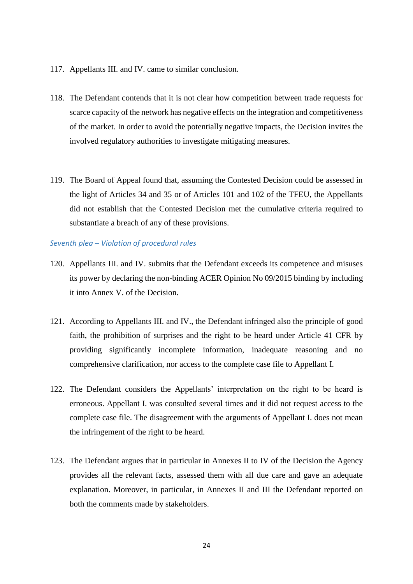- 117. Appellants III. and IV. came to similar conclusion.
- 118. The Defendant contends that it is not clear how competition between trade requests for scarce capacity of the network has negative effects on the integration and competitiveness of the market. In order to avoid the potentially negative impacts, the Decision invites the involved regulatory authorities to investigate mitigating measures.
- 119. The Board of Appeal found that, assuming the Contested Decision could be assessed in the light of Articles 34 and 35 or of Articles 101 and 102 of the TFEU, the Appellants did not establish that the Contested Decision met the cumulative criteria required to substantiate a breach of any of these provisions.

#### *Seventh plea – Violation of procedural rules*

- 120. Appellants III. and IV. submits that the Defendant exceeds its competence and misuses its power by declaring the non-binding ACER Opinion No 09/2015 binding by including it into Annex V. of the Decision.
- 121. According to Appellants III. and IV., the Defendant infringed also the principle of good faith, the prohibition of surprises and the right to be heard under Article 41 CFR by providing significantly incomplete information, inadequate reasoning and no comprehensive clarification, nor access to the complete case file to Appellant I.
- 122. The Defendant considers the Appellants' interpretation on the right to be heard is erroneous. Appellant I. was consulted several times and it did not request access to the complete case file. The disagreement with the arguments of Appellant I. does not mean the infringement of the right to be heard.
- 123. The Defendant argues that in particular in Annexes II to IV of the Decision the Agency provides all the relevant facts, assessed them with all due care and gave an adequate explanation. Moreover, in particular, in Annexes II and III the Defendant reported on both the comments made by stakeholders.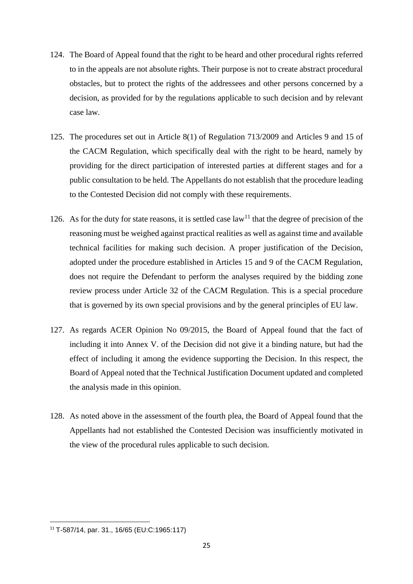- 124. The Board of Appeal found that the right to be heard and other procedural rights referred to in the appeals are not absolute rights. Their purpose is not to create abstract procedural obstacles, but to protect the rights of the addressees and other persons concerned by a decision, as provided for by the regulations applicable to such decision and by relevant case law.
- 125. The procedures set out in Article 8(1) of Regulation 713/2009 and Articles 9 and 15 of the CACM Regulation, which specifically deal with the right to be heard, namely by providing for the direct participation of interested parties at different stages and for a public consultation to be held. The Appellants do not establish that the procedure leading to the Contested Decision did not comply with these requirements.
- 126. As for the duty for state reasons, it is settled case  $law<sup>11</sup>$  that the degree of precision of the reasoning must be weighed against practical realities as well as against time and available technical facilities for making such decision. A proper justification of the Decision, adopted under the procedure established in Articles 15 and 9 of the CACM Regulation, does not require the Defendant to perform the analyses required by the bidding zone review process under Article 32 of the CACM Regulation. This is a special procedure that is governed by its own special provisions and by the general principles of EU law.
- 127. As regards ACER Opinion No 09/2015, the Board of Appeal found that the fact of including it into Annex V. of the Decision did not give it a binding nature, but had the effect of including it among the evidence supporting the Decision. In this respect, the Board of Appeal noted that the Technical Justification Document updated and completed the analysis made in this opinion.
- 128. As noted above in the assessment of the fourth plea, the Board of Appeal found that the Appellants had not established the Contested Decision was insufficiently motivated in the view of the procedural rules applicable to such decision.

<sup>11</sup> T-587/14, par. 31., 16/65 (EU:C:1965:117)